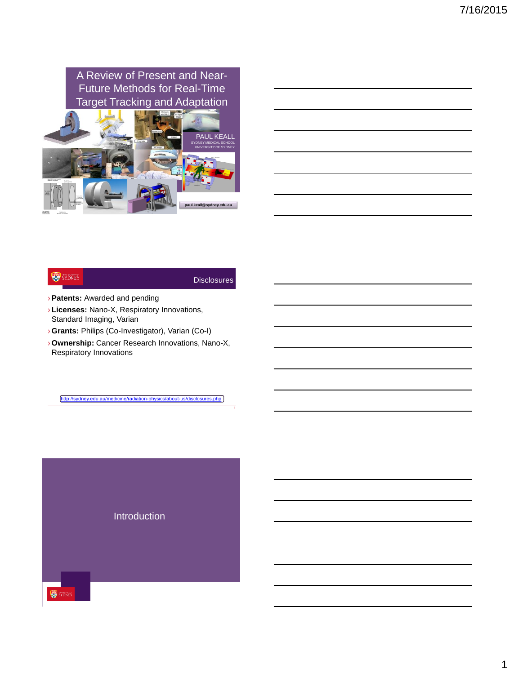

|                                                                  | the contract of the contract of the contract of the contract of the contract of |  |  |
|------------------------------------------------------------------|---------------------------------------------------------------------------------|--|--|
|                                                                  |                                                                                 |  |  |
|                                                                  | <u> 1989 - Johann Stoff, Amerikaansk politiker (* 1958)</u>                     |  |  |
|                                                                  |                                                                                 |  |  |
| <u> 1980 - Johann Stein, mars an t-Amerikaansk kommunister (</u> |                                                                                 |  |  |
|                                                                  |                                                                                 |  |  |

## **SYDNEY**

## **Disclosures**

- ›**Patents:** Awarded and pending
- › **Licenses:** Nano-X, Respiratory Innovations, Standard Imaging, Varian
- ›**Grants:** Philips (Co-Investigator), Varian (Co-I)
- ›**Ownership:** Cancer Research Innovations, Nano-X, Respiratory Innovations

<http://sydney.edu.au/medicine/radiation-physics/about-us/disclosures.php>

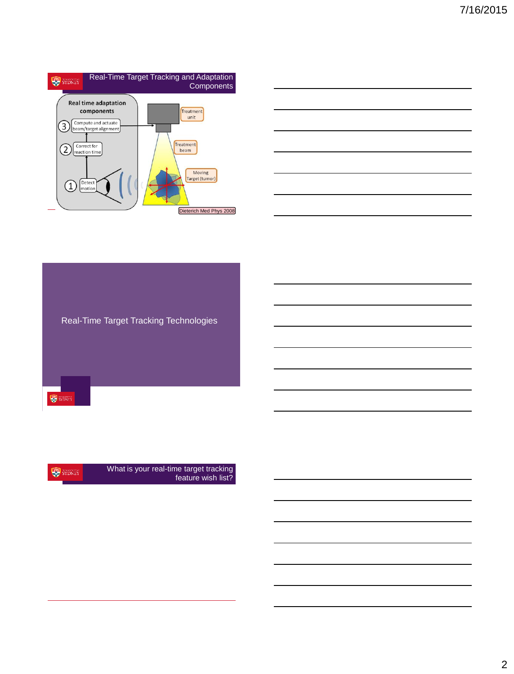



Real-Time Target Tracking Technologies SYDNEY

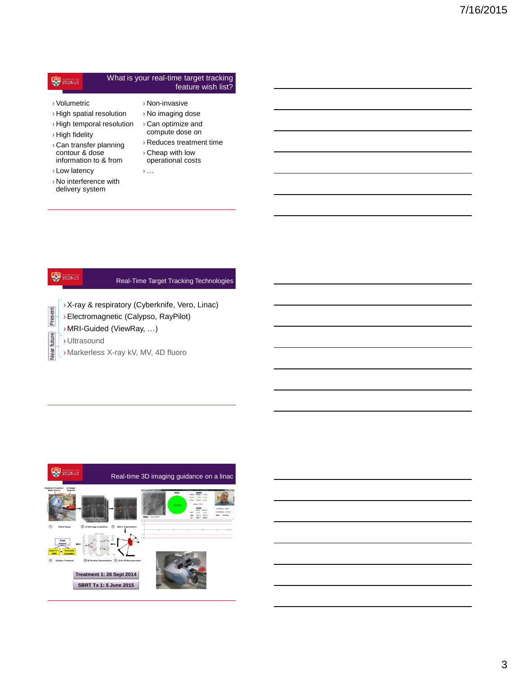#### What is your real-time target tracking SYDNEY feature wish list?

- › Volumetric
- › High spatial resolution
- › High temporal resolution
- › High fidelity
- › Can transfer planning contour & dose information to & from
- › Low latency
- › No interference with delivery system
- › Non-invasive › No imaging dose › Can optimize and compute dose on
- › Reduces treatment time
- › Cheap with low operational costs
- $\sum_{i=1}^{n}$

# Real-Time Target Tracking Technologies

›X-ray & respiratory (Cyberknife, Vero, Linac)

- ›Electromagnetic (Calypso, RayPilot)
- › MRI-Guided (ViewRay, …)
- › Ultrasound

Present

**SYDNEY** 

Near future

› Markerless X-ray kV, MV, 4D fluoro

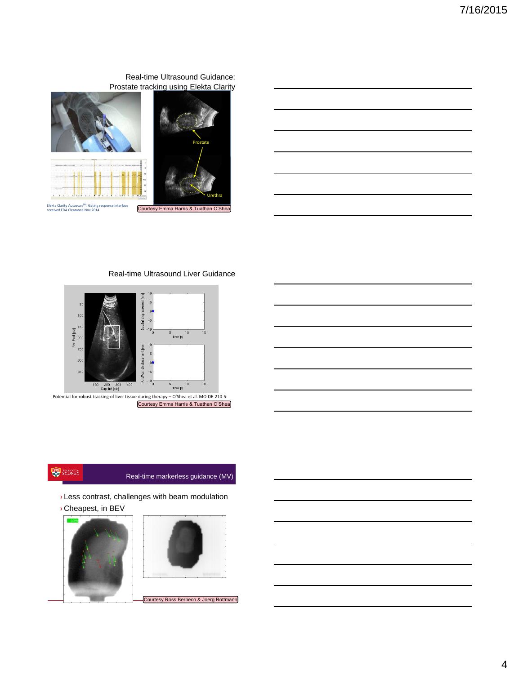## Real-time Ultrasound Guidance: Prostate tracking using Elekta Clarity





#### Real-time Ultrasound Liver Guidance



## **SYDNEY**

### Real-time markerless guidance (MV)

- › Less contrast, challenges with beam modulation
- › Cheapest, in BEV



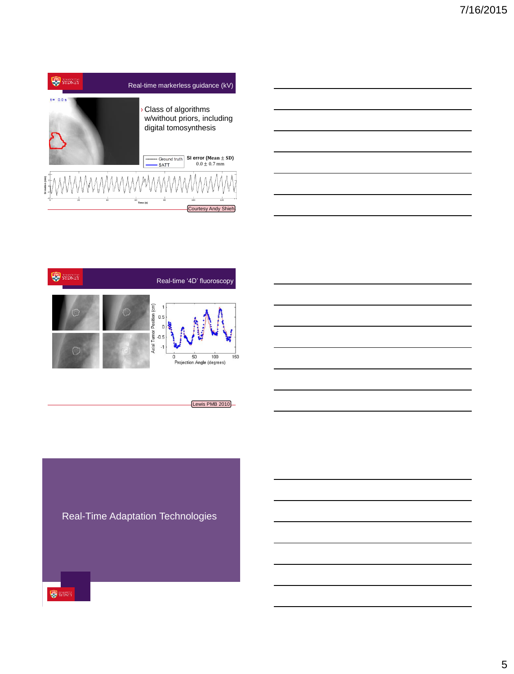



Lewis PMB 2010

Real-Time Adaptation Technologies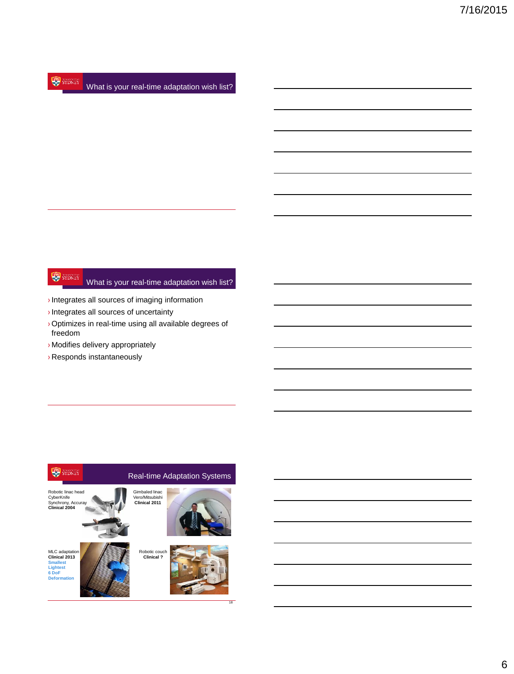#### **SYDNEY** What is your real-time adaptation wish list?

#### **SYDNEY** What is your real-time adaptation wish list?

- $\rightarrow$  Integrates all sources of imaging information
- ›Integrates all sources of uncertainty
- ›Optimizes in real-time using all available degrees of freedom
- › Modifies delivery appropriately
- › Responds instantaneously

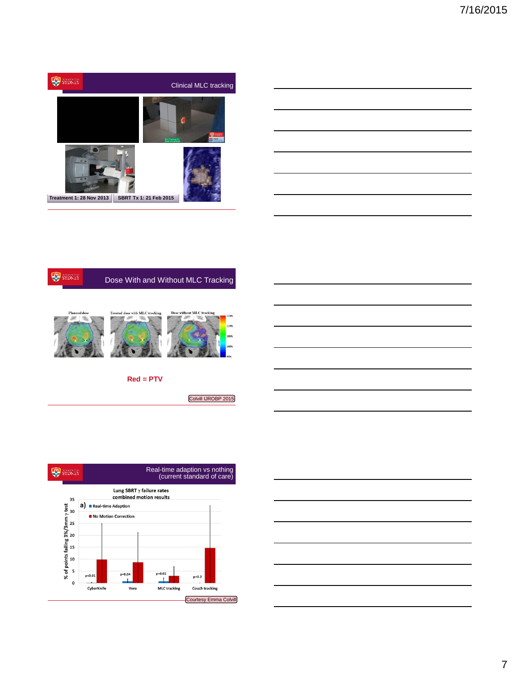







**Red = PTV**

Colvill IJROBP 2015